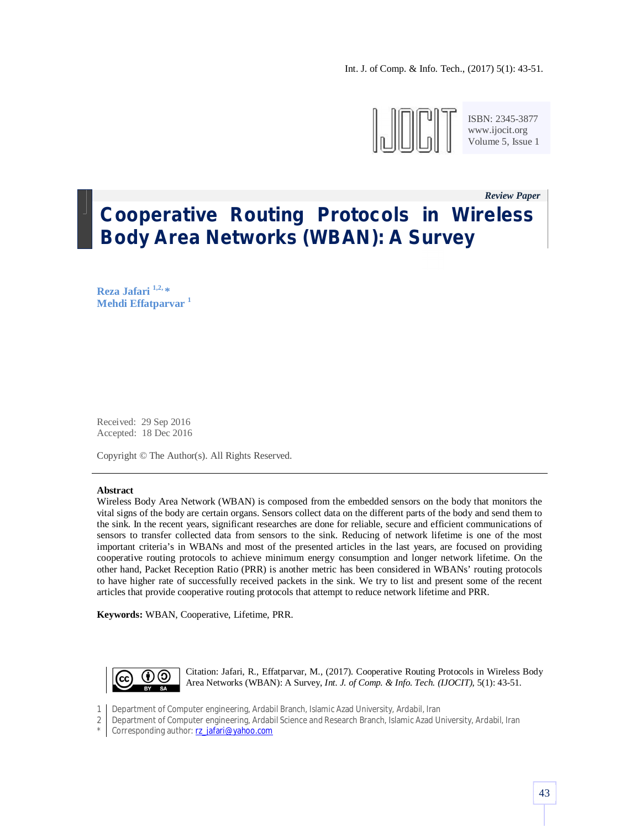

ISBN: 2345-3877 www.ijocit.org Volume 5, Issue 1

*Review Paper \_*

# **Cooperative Routing Protocols in Wireless Body Area Networks (WBAN): A Survey**

**Reza Jafari 1,2, \* Mehdi Effatparvar <sup>1</sup>**

Received: 29 Sep 2016 Accepted: 18 Dec 2016

Copyright © The Author(s). All Rights Reserved.

#### **Abstract**

Wireless Body Area Network (WBAN) is composed from the embedded sensors on the body that monitors the vital signs of the body are certain organs. Sensors collect data on the different parts of the body and send them to the sink. In the recent years, significant researches are done for reliable, secure and efficient communications of sensors to transfer collected data from sensors to the sink. Reducing of network lifetime is one of the most important criteria's in WBANs and most of the presented articles in the last years, are focused on providing cooperative routing protocols to achieve minimum energy consumption and longer network lifetime. On the other hand, Packet Reception Ratio (PRR) is another metric has been considered in WBANs' routing protocols to have higher rate of successfully received packets in the sink. We try to list and present some of the recent articles that provide cooperative routing protocols that attempt to reduce network lifetime and PRR.

**Keywords:** WBAN, Cooperative, Lifetime, PRR.



Citation: Jafari, R., Effatparvar, M., (2017). Cooperative Routing Protocols in Wireless Body Area Networks (WBAN): A Survey, *Int. J. of Comp. & Info. Tech. (IJOCIT)*, 5(1): 43-51.

1 Department of Computer engineering, Ardabil Branch, Islamic Azad University, Ardabil, Iran

2 Department of Computer engineering, Ardabil Science and Research Branch, Islamic Azad University, Ardabil, Iran

\* Corresponding author: rz\_jafari@yahoo.com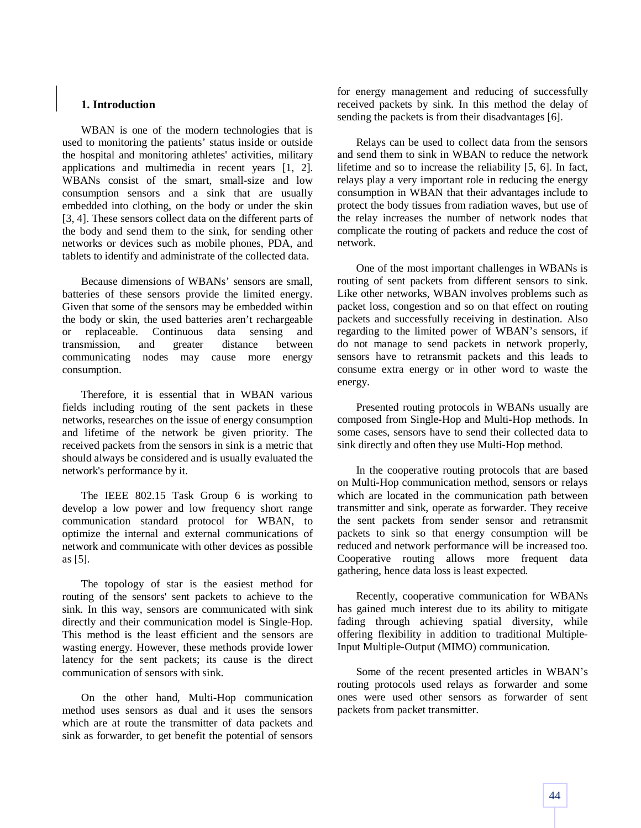### **1. Introduction**

WBAN is one of the modern technologies that is used to monitoring the patients' status inside or outside the hospital and monitoring athletes' activities, military applications and multimedia in recent years [1, 2]. WBANs consist of the smart, small-size and low consumption sensors and a sink that are usually embedded into clothing, on the body or under the skin [3, 4]. These sensors collect data on the different parts of the body and send them to the sink, for sending other networks or devices such as mobile phones, PDA, and tablets to identify and administrate of the collected data.

Because dimensions of WBANs' sensors are small, batteries of these sensors provide the limited energy. Given that some of the sensors may be embedded within the body or skin, the used batteries aren't rechargeable or replaceable. Continuous data sensing and transmission, and greater distance between communicating nodes may cause more energy consumption.

Therefore, it is essential that in WBAN various fields including routing of the sent packets in these networks, researches on the issue of energy consumption and lifetime of the network be given priority. The received packets from the sensors in sink is a metric that should always be considered and is usually evaluated the network's performance by it.

The IEEE 802.15 Task Group 6 is working to develop a low power and low frequency short range communication standard protocol for WBAN, to optimize the internal and external communications of network and communicate with other devices as possible as [5].

The topology of star is the easiest method for routing of the sensors' sent packets to achieve to the sink. In this way, sensors are communicated with sink directly and their communication model is Single-Hop. This method is the least efficient and the sensors are wasting energy. However, these methods provide lower latency for the sent packets; its cause is the direct communication of sensors with sink.

On the other hand, Multi-Hop communication method uses sensors as dual and it uses the sensors which are at route the transmitter of data packets and sink as forwarder, to get benefit the potential of sensors for energy management and reducing of successfully received packets by sink. In this method the delay of sending the packets is from their disadvantages [6].

Relays can be used to collect data from the sensors and send them to sink in WBAN to reduce the network lifetime and so to increase the reliability [5, 6]. In fact, relays play a very important role in reducing the energy consumption in WBAN that their advantages include to protect the body tissues from radiation waves, but use of the relay increases the number of network nodes that complicate the routing of packets and reduce the cost of network.

One of the most important challenges in WBANs is routing of sent packets from different sensors to sink. Like other networks, WBAN involves problems such as packet loss, congestion and so on that effect on routing packets and successfully receiving in destination. Also regarding to the limited power of WBAN's sensors, if do not manage to send packets in network properly, sensors have to retransmit packets and this leads to consume extra energy or in other word to waste the energy.

Presented routing protocols in WBANs usually are composed from Single-Hop and Multi-Hop methods. In some cases, sensors have to send their collected data to sink directly and often they use Multi-Hop method.

In the cooperative routing protocols that are based on Multi-Hop communication method, sensors or relays which are located in the communication path between transmitter and sink, operate as forwarder. They receive the sent packets from sender sensor and retransmit packets to sink so that energy consumption will be reduced and network performance will be increased too. Cooperative routing allows more frequent data gathering, hence data loss is least expected.

Recently, cooperative communication for WBANs has gained much interest due to its ability to mitigate fading through achieving spatial diversity, while offering flexibility in addition to traditional Multiple-Input Multiple-Output (MIMO) communication.

Some of the recent presented articles in WBAN's routing protocols used relays as forwarder and some ones were used other sensors as forwarder of sent packets from packet transmitter.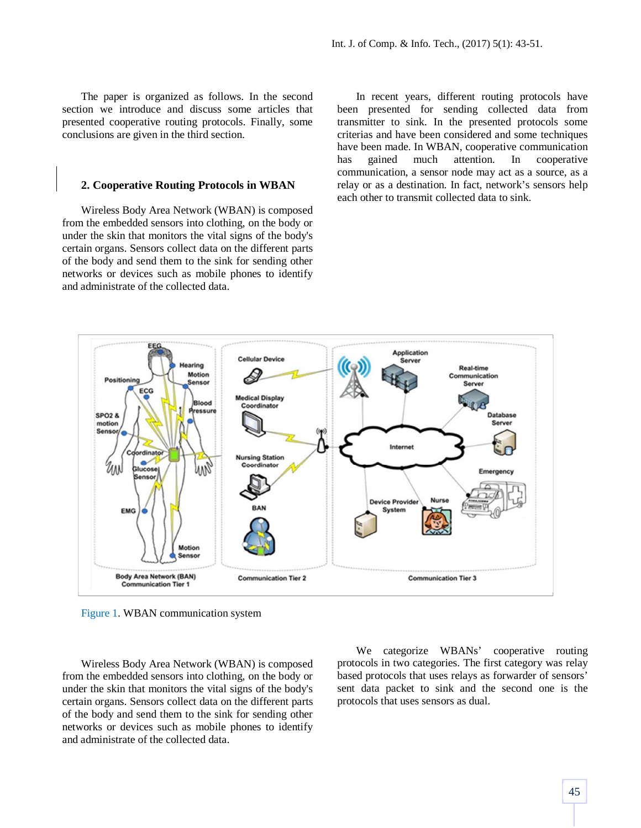The paper is organized as follows. In the second section we introduce and discuss some articles that presented cooperative routing protocols. Finally, some conclusions are given in the third section.

#### **2. Cooperative Routing Protocols in WBAN**

Wireless Body Area Network (WBAN) is composed from the embedded sensors into clothing, on the body or under the skin that monitors the vital signs of the body's certain organs. Sensors collect data on the different parts of the body and send them to the sink for sending other networks or devices such as mobile phones to identify and administrate of the collected data.

In recent years, different routing protocols have been presented for sending collected data from transmitter to sink. In the presented protocols some criterias and have been considered and some techniques have been made. In WBAN, cooperative communication has gained much attention. In cooperative communication, a sensor node may act as a source, as a relay or as a destination. In fact, network's sensors help each other to transmit collected data to sink.



Figure 1. WBAN communication system

Wireless Body Area Network (WBAN) is composed from the embedded sensors into clothing, on the body or under the skin that monitors the vital signs of the body's certain organs. Sensors collect data on the different parts of the body and send them to the sink for sending other networks or devices such as mobile phones to identify and administrate of the collected data.

We categorize WBANs' cooperative routing protocols in two categories. The first category was relay based protocols that uses relays as forwarder of sensors' sent data packet to sink and the second one is the protocols that uses sensors as dual.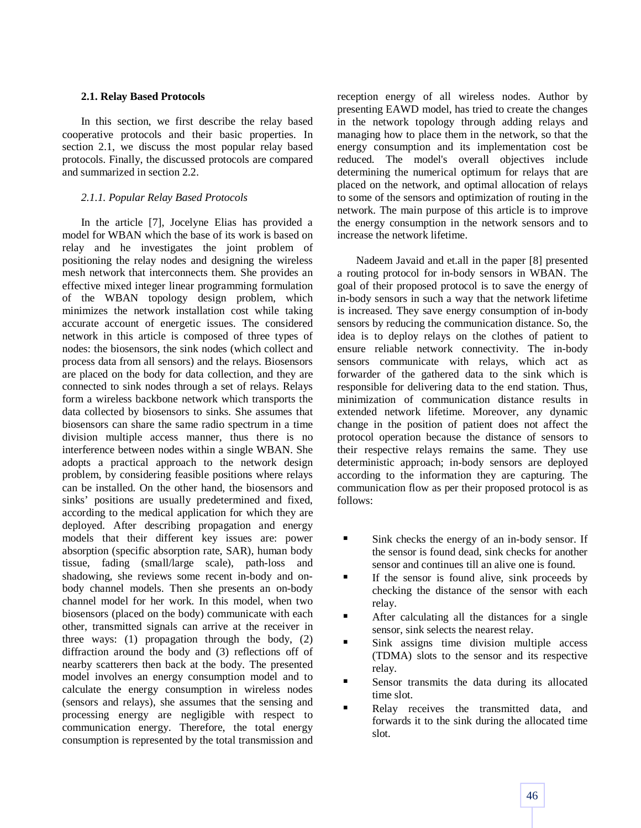## **2.1. Relay Based Protocols**

In this section, we first describe the relay based cooperative protocols and their basic properties. In section 2.1, we discuss the most popular relay based protocols. Finally, the discussed protocols are compared and summarized in section 2.2.

## *2.1.1. Popular Relay Based Protocols*

In the article [7], Jocelyne Elias has provided a model for WBAN which the base of its work is based on relay and he investigates the joint problem of positioning the relay nodes and designing the wireless mesh network that interconnects them. She provides an effective mixed integer linear programming formulation of the WBAN topology design problem, which minimizes the network installation cost while taking accurate account of energetic issues. The considered network in this article is composed of three types of nodes: the biosensors, the sink nodes (which collect and process data from all sensors) and the relays. Biosensors are placed on the body for data collection, and they are connected to sink nodes through a set of relays. Relays form a wireless backbone network which transports the data collected by biosensors to sinks. She assumes that biosensors can share the same radio spectrum in a time division multiple access manner, thus there is no interference between nodes within a single WBAN. She adopts a practical approach to the network design problem, by considering feasible positions where relays can be installed. On the other hand, the biosensors and sinks' positions are usually predetermined and fixed, according to the medical application for which they are deployed. After describing propagation and energy models that their different key issues are: power absorption (specific absorption rate, SAR), human body tissue, fading (small/large scale), path-loss and shadowing, she reviews some recent in-body and onbody channel models. Then she presents an on-body channel model for her work. In this model, when two biosensors (placed on the body) communicate with each other, transmitted signals can arrive at the receiver in three ways: (1) propagation through the body, (2) diffraction around the body and (3) reflections off of nearby scatterers then back at the body. The presented model involves an energy consumption model and to calculate the energy consumption in wireless nodes (sensors and relays), she assumes that the sensing and processing energy are negligible with respect to communication energy. Therefore, the total energy consumption is represented by the total transmission and reception energy of all wireless nodes. Author by presenting EAWD model, has tried to create the changes in the network topology through adding relays and managing how to place them in the network, so that the energy consumption and its implementation cost be reduced. The model's overall objectives include determining the numerical optimum for relays that are placed on the network, and optimal allocation of relays to some of the sensors and optimization of routing in the network. The main purpose of this article is to improve the energy consumption in the network sensors and to increase the network lifetime.

Nadeem Javaid and et.all in the paper [8] presented a routing protocol for in-body sensors in WBAN. The goal of their proposed protocol is to save the energy of in-body sensors in such a way that the network lifetime is increased. They save energy consumption of in-body sensors by reducing the communication distance. So, the idea is to deploy relays on the clothes of patient to ensure reliable network connectivity. The in-body sensors communicate with relays, which act as forwarder of the gathered data to the sink which is responsible for delivering data to the end station. Thus, minimization of communication distance results in extended network lifetime. Moreover, any dynamic change in the position of patient does not affect the protocol operation because the distance of sensors to their respective relays remains the same. They use deterministic approach; in-body sensors are deployed according to the information they are capturing. The communication flow as per their proposed protocol is as follows:

- Sink checks the energy of an in-body sensor. If the sensor is found dead, sink checks for another sensor and continues till an alive one is found.
- If the sensor is found alive, sink proceeds by checking the distance of the sensor with each relay.
- After calculating all the distances for a single sensor, sink selects the nearest relay.
- Sink assigns time division multiple access (TDMA) slots to the sensor and its respective relay.
- Sensor transmits the data during its allocated time slot.
- Relay receives the transmitted data, and forwards it to the sink during the allocated time slot.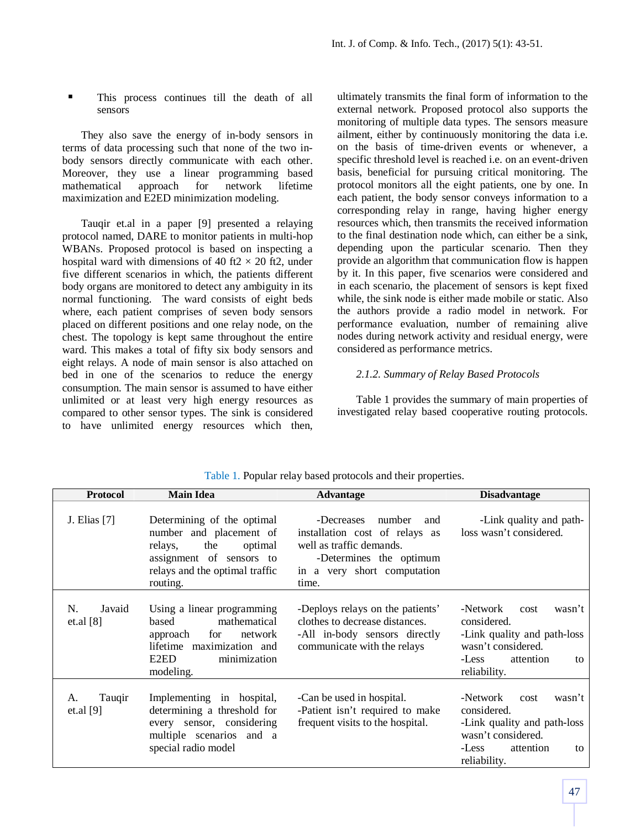This process continues till the death of all sensors

They also save the energy of in-body sensors in terms of data processing such that none of the two inbody sensors directly communicate with each other. Moreover, they use a linear programming based mathematical approach for network lifetime maximization and E2ED minimization modeling.

Tauqir et.al in a paper [9] presented a relaying protocol named, DARE to monitor patients in multi-hop WBANs. Proposed protocol is based on inspecting a hospital ward with dimensions of 40 ft2  $\times$  20 ft2, under five different scenarios in which, the patients different body organs are monitored to detect any ambiguity in its normal functioning. The ward consists of eight beds where, each patient comprises of seven body sensors placed on different positions and one relay node, on the chest. The topology is kept same throughout the entire ward. This makes a total of fifty six body sensors and eight relays. A node of main sensor is also attached on bed in one of the scenarios to reduce the energy consumption. The main sensor is assumed to have either unlimited or at least very high energy resources as compared to other sensor types. The sink is considered to have unlimited energy resources which then, ultimately transmits the final form of information to the external network. Proposed protocol also supports the monitoring of multiple data types. The sensors measure ailment, either by continuously monitoring the data i.e. on the basis of time-driven events or whenever, a specific threshold level is reached i.e. on an event-driven basis, beneficial for pursuing critical monitoring. The protocol monitors all the eight patients, one by one. In each patient, the body sensor conveys information to a corresponding relay in range, having higher energy resources which, then transmits the received information to the final destination node which, can either be a sink, depending upon the particular scenario. Then they provide an algorithm that communication flow is happen by it. In this paper, five scenarios were considered and in each scenario, the placement of sensors is kept fixed while, the sink node is either made mobile or static. Also the authors provide a radio model in network. For performance evaluation, number of remaining alive nodes during network activity and residual energy, were considered as performance metrics.

### *2.1.2. Summary of Relay Based Protocols*

Table 1 provides the summary of main properties of investigated relay based cooperative routing protocols.

| <b>Protocol</b>             | <b>Main Idea</b>                                                                                                                                             | <b>Advantage</b>                                                                                                                                             | <b>Disadvantage</b>                                                                                                                        |
|-----------------------------|--------------------------------------------------------------------------------------------------------------------------------------------------------------|--------------------------------------------------------------------------------------------------------------------------------------------------------------|--------------------------------------------------------------------------------------------------------------------------------------------|
| J. Elias [7]                | Determining of the optimal<br>number and placement of<br>the<br>optimal<br>relays,<br>assignment of sensors to<br>relays and the optimal traffic<br>routing. | -Decreases<br>number<br>and<br>installation cost of relays as<br>well as traffic demands.<br>-Determines the optimum<br>in a very short computation<br>time. | -Link quality and path-<br>loss wasn't considered.                                                                                         |
| N.<br>Javaid<br>et.al [8]   | Using a linear programming<br>mathematical<br>based<br>for<br>network<br>approach<br>lifetime maximization and<br>E2ED<br>minimization<br>modeling.          | -Deploys relays on the patients'<br>clothes to decrease distances.<br>-All in-body sensors directly<br>communicate with the relays                           | -Network<br>wasn't<br>cost<br>considered.<br>-Link quality and path-loss<br>wasn't considered.<br>-Less<br>attention<br>to<br>reliability. |
| Tauqir<br>А.<br>et.al $[9]$ | Implementing in hospital,<br>determining a threshold for<br>every sensor, considering<br>multiple scenarios and a<br>special radio model                     | -Can be used in hospital.<br>-Patient isn't required to make<br>frequent visits to the hospital.                                                             | -Network<br>wasn't<br>cost<br>considered.<br>-Link quality and path-loss<br>wasn't considered.<br>-Less<br>attention<br>to<br>reliability. |

Table 1. Popular relay based protocols and their properties.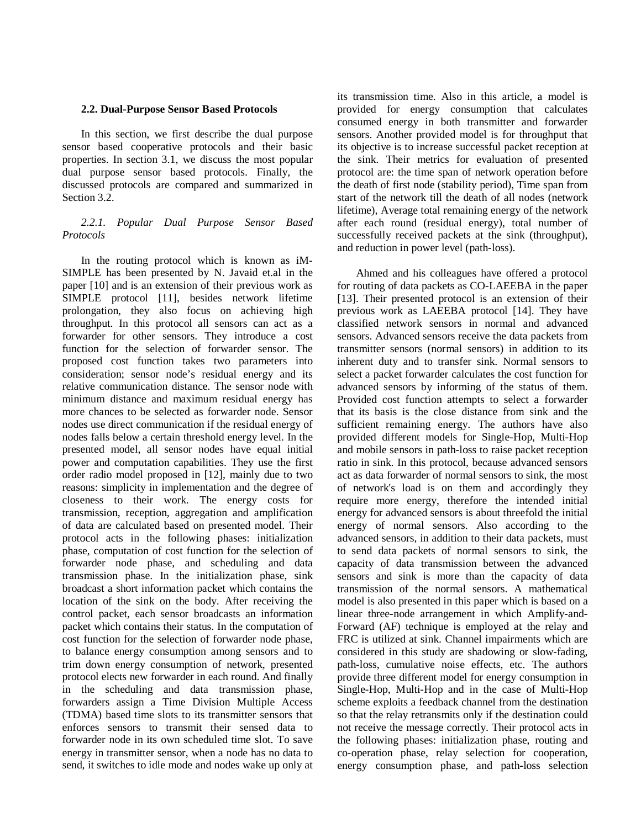#### **2.2. Dual-Purpose Sensor Based Protocols**

In this section, we first describe the dual purpose sensor based cooperative protocols and their basic properties. In section 3.1, we discuss the most popular dual purpose sensor based protocols. Finally, the discussed protocols are compared and summarized in Section 3.2.

## *2.2.1. Popular Dual Purpose Sensor Based Protocols*

In the routing protocol which is known as iM-SIMPLE has been presented by N. Javaid et.al in the paper [10] and is an extension of their previous work as SIMPLE protocol [11], besides network lifetime prolongation, they also focus on achieving high throughput. In this protocol all sensors can act as a forwarder for other sensors. They introduce a cost function for the selection of forwarder sensor. The proposed cost function takes two parameters into consideration; sensor node's residual energy and its relative communication distance. The sensor node with minimum distance and maximum residual energy has more chances to be selected as forwarder node. Sensor nodes use direct communication if the residual energy of nodes falls below a certain threshold energy level. In the presented model, all sensor nodes have equal initial power and computation capabilities. They use the first order radio model proposed in [12], mainly due to two reasons: simplicity in implementation and the degree of closeness to their work. The energy costs for transmission, reception, aggregation and amplification of data are calculated based on presented model. Their protocol acts in the following phases: initialization phase, computation of cost function for the selection of forwarder node phase, and scheduling and data transmission phase. In the initialization phase, sink broadcast a short information packet which contains the location of the sink on the body. After receiving the control packet, each sensor broadcasts an information packet which contains their status. In the computation of cost function for the selection of forwarder node phase, to balance energy consumption among sensors and to trim down energy consumption of network, presented protocol elects new forwarder in each round. And finally in the scheduling and data transmission phase, forwarders assign a Time Division Multiple Access (TDMA) based time slots to its transmitter sensors that enforces sensors to transmit their sensed data to forwarder node in its own scheduled time slot. To save energy in transmitter sensor, when a node has no data to send, it switches to idle mode and nodes wake up only at its transmission time. Also in this article, a model is provided for energy consumption that calculates consumed energy in both transmitter and forwarder sensors. Another provided model is for throughput that its objective is to increase successful packet reception at the sink. Their metrics for evaluation of presented protocol are: the time span of network operation before the death of first node (stability period), Time span from start of the network till the death of all nodes (network lifetime), Average total remaining energy of the network after each round (residual energy), total number of successfully received packets at the sink (throughput), and reduction in power level (path-loss).

Ahmed and his colleagues have offered a protocol for routing of data packets as CO-LAEEBA in the paper [13]. Their presented protocol is an extension of their previous work as LAEEBA protocol [14]. They have classified network sensors in normal and advanced sensors. Advanced sensors receive the data packets from transmitter sensors (normal sensors) in addition to its inherent duty and to transfer sink. Normal sensors to select a packet forwarder calculates the cost function for advanced sensors by informing of the status of them. Provided cost function attempts to select a forwarder that its basis is the close distance from sink and the sufficient remaining energy. The authors have also provided different models for Single-Hop, Multi-Hop and mobile sensors in path-loss to raise packet reception ratio in sink. In this protocol, because advanced sensors act as data forwarder of normal sensors to sink, the most of network's load is on them and accordingly they require more energy, therefore the intended initial energy for advanced sensors is about threefold the initial energy of normal sensors. Also according to the advanced sensors, in addition to their data packets, must to send data packets of normal sensors to sink, the capacity of data transmission between the advanced sensors and sink is more than the capacity of data transmission of the normal sensors. A mathematical model is also presented in this paper which is based on a linear three-node arrangement in which Amplify-and-Forward (AF) technique is employed at the relay and FRC is utilized at sink. Channel impairments which are considered in this study are shadowing or slow-fading, path-loss, cumulative noise effects, etc. The authors provide three different model for energy consumption in Single-Hop, Multi-Hop and in the case of Multi-Hop scheme exploits a feedback channel from the destination so that the relay retransmits only if the destination could not receive the message correctly. Their protocol acts in the following phases: initialization phase, routing and co-operation phase, relay selection for cooperation, energy consumption phase, and path-loss selection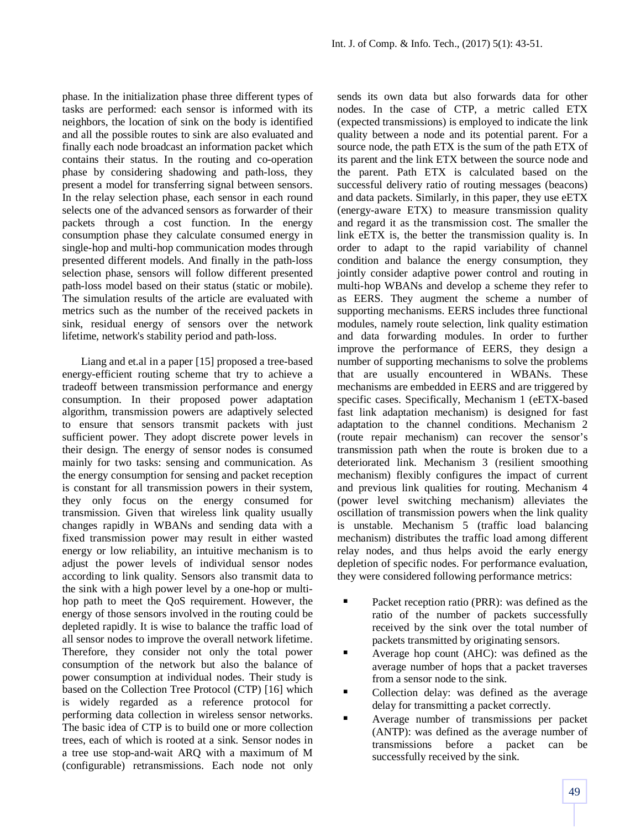phase. In the initialization phase three different types of tasks are performed: each sensor is informed with its neighbors, the location of sink on the body is identified and all the possible routes to sink are also evaluated and finally each node broadcast an information packet which contains their status. In the routing and co-operation phase by considering shadowing and path-loss, they present a model for transferring signal between sensors. In the relay selection phase, each sensor in each round selects one of the advanced sensors as forwarder of their packets through a cost function. In the energy consumption phase they calculate consumed energy in single-hop and multi-hop communication modes through presented different models. And finally in the path-loss selection phase, sensors will follow different presented path-loss model based on their status (static or mobile). The simulation results of the article are evaluated with metrics such as the number of the received packets in sink, residual energy of sensors over the network lifetime, network's stability period and path-loss.

Liang and et.al in a paper [15] proposed a tree-based energy-efficient routing scheme that try to achieve a tradeoff between transmission performance and energy consumption. In their proposed power adaptation algorithm, transmission powers are adaptively selected to ensure that sensors transmit packets with just sufficient power. They adopt discrete power levels in their design. The energy of sensor nodes is consumed mainly for two tasks: sensing and communication. As the energy consumption for sensing and packet reception is constant for all transmission powers in their system, they only focus on the energy consumed for transmission. Given that wireless link quality usually changes rapidly in WBANs and sending data with a fixed transmission power may result in either wasted energy or low reliability, an intuitive mechanism is to adjust the power levels of individual sensor nodes according to link quality. Sensors also transmit data to the sink with a high power level by a one-hop or multihop path to meet the QoS requirement. However, the energy of those sensors involved in the routing could be depleted rapidly. It is wise to balance the traffic load of all sensor nodes to improve the overall network lifetime. Therefore, they consider not only the total power consumption of the network but also the balance of power consumption at individual nodes. Their study is based on the Collection Tree Protocol (CTP) [16] which is widely regarded as a reference protocol for performing data collection in wireless sensor networks. The basic idea of CTP is to build one or more collection trees, each of which is rooted at a sink. Sensor nodes in a tree use stop-and-wait ARQ with a maximum of M (configurable) retransmissions. Each node not only

sends its own data but also forwards data for other nodes. In the case of CTP, a metric called ETX (expected transmissions) is employed to indicate the link quality between a node and its potential parent. For a source node, the path ETX is the sum of the path ETX of its parent and the link ETX between the source node and the parent. Path ETX is calculated based on the successful delivery ratio of routing messages (beacons) and data packets. Similarly, in this paper, they use eETX (energy-aware ETX) to measure transmission quality and regard it as the transmission cost. The smaller the link eETX is, the better the transmission quality is. In order to adapt to the rapid variability of channel condition and balance the energy consumption, they jointly consider adaptive power control and routing in multi-hop WBANs and develop a scheme they refer to as EERS. They augment the scheme a number of supporting mechanisms. EERS includes three functional modules, namely route selection, link quality estimation and data forwarding modules. In order to further improve the performance of EERS, they design a number of supporting mechanisms to solve the problems that are usually encountered in WBANs. These mechanisms are embedded in EERS and are triggered by specific cases. Specifically, Mechanism 1 (eETX-based fast link adaptation mechanism) is designed for fast adaptation to the channel conditions. Mechanism 2 (route repair mechanism) can recover the sensor's transmission path when the route is broken due to a deteriorated link. Mechanism 3 (resilient smoothing mechanism) flexibly configures the impact of current and previous link qualities for routing. Mechanism 4 (power level switching mechanism) alleviates the oscillation of transmission powers when the link quality is unstable. Mechanism 5 (traffic load balancing mechanism) distributes the traffic load among different relay nodes, and thus helps avoid the early energy depletion of specific nodes. For performance evaluation, they were considered following performance metrics:

- Packet reception ratio (PRR): was defined as the ratio of the number of packets successfully received by the sink over the total number of packets transmitted by originating sensors.
- Average hop count (AHC): was defined as the average number of hops that a packet traverses from a sensor node to the sink.
- Collection delay: was defined as the average delay for transmitting a packet correctly.
- Average number of transmissions per packet (ANTP): was defined as the average number of transmissions before a packet can be successfully received by the sink.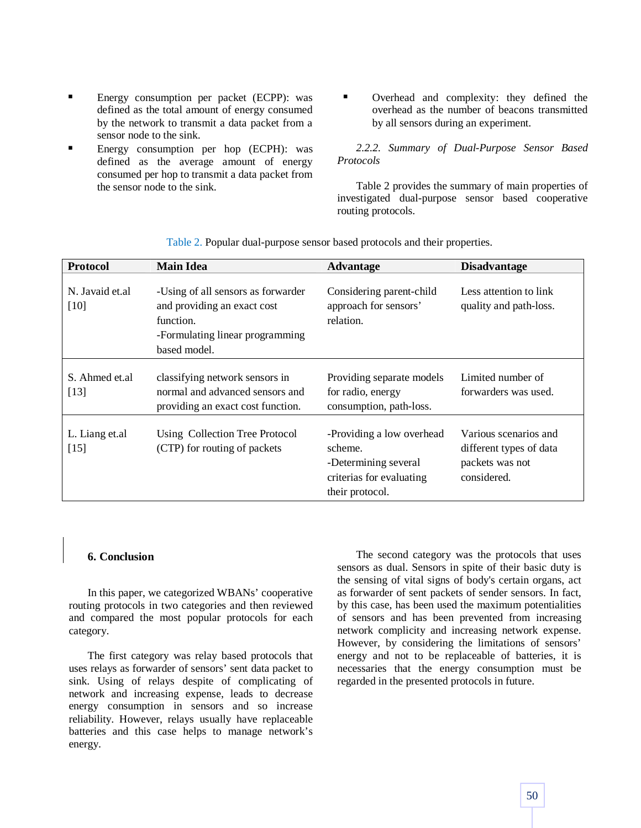- Energy consumption per packet (ECPP): was defined as the total amount of energy consumed by the network to transmit a data packet from a sensor node to the sink.
- Energy consumption per hop (ECPH): was defined as the average amount of energy consumed per hop to transmit a data packet from the sensor node to the sink.
- Overhead and complexity: they defined the overhead as the number of beacons transmitted by all sensors during an experiment.

*2.2.2. Summary of Dual-Purpose Sensor Based Protocols*

Table 2 provides the summary of main properties of investigated dual-purpose sensor based cooperative routing protocols.

| <b>Protocol</b>          | <b>Main Idea</b>                                                                                                                  | <b>Advantage</b>                                                                                            | <b>Disadvantage</b>                                                                |
|--------------------------|-----------------------------------------------------------------------------------------------------------------------------------|-------------------------------------------------------------------------------------------------------------|------------------------------------------------------------------------------------|
| N. Javaid et.al<br>[10]  | -Using of all sensors as forwarder<br>and providing an exact cost<br>function.<br>-Formulating linear programming<br>based model. | Considering parent-child<br>approach for sensors'<br>relation.                                              | Less attention to link<br>quality and path-loss.                                   |
| S. Ahmed et al<br>$[13]$ | classifying network sensors in<br>normal and advanced sensors and<br>providing an exact cost function.                            | Providing separate models<br>for radio, energy<br>consumption, path-loss.                                   | Limited number of<br>forwarders was used.                                          |
| L. Liang et.al<br>$[15]$ | Using Collection Tree Protocol<br>(CTP) for routing of packets                                                                    | -Providing a low overhead<br>scheme.<br>-Determining several<br>criterias for evaluating<br>their protocol. | Various scenarios and<br>different types of data<br>packets was not<br>considered. |

Table 2. Popular dual-purpose sensor based protocols and their properties.

#### **6. Conclusion**

In this paper, we categorized WBANs' cooperative routing protocols in two categories and then reviewed and compared the most popular protocols for each category.

The first category was relay based protocols that uses relays as forwarder of sensors' sent data packet to sink. Using of relays despite of complicating of network and increasing expense, leads to decrease energy consumption in sensors and so increase reliability. However, relays usually have replaceable batteries and this case helps to manage network's energy.

The second category was the protocols that uses sensors as dual. Sensors in spite of their basic duty is the sensing of vital signs of body's certain organs, act as forwarder of sent packets of sender sensors. In fact, by this case, has been used the maximum potentialities of sensors and has been prevented from increasing network complicity and increasing network expense. However, by considering the limitations of sensors' energy and not to be replaceable of batteries, it is necessaries that the energy consumption must be regarded in the presented protocols in future.